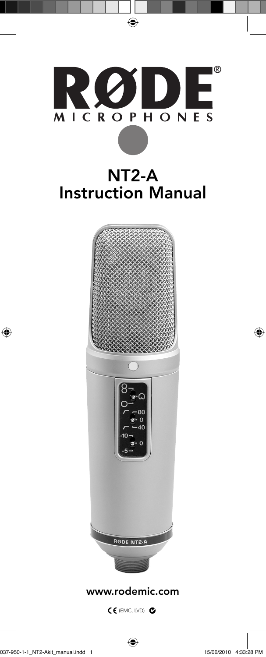

 $\bigoplus$ 

www.rodemic.com

(EMC, LVD)

 $\bigoplus$ 

 $\bigoplus$ 

 $\bigoplus$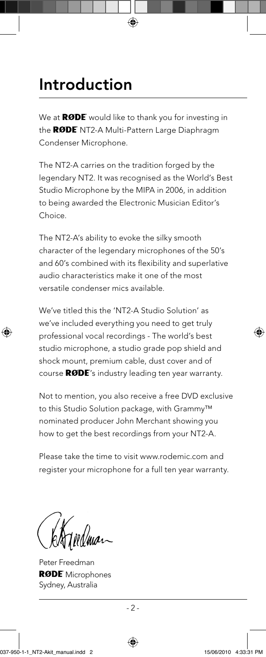#### Introduction

We at **RØDE** would like to thank you for investing in the RØDE NT2-A Multi-Pattern Large Diaphragm Condenser Microphone.

◈

The NT2-A carries on the tradition forged by the legendary NT2. It was recognised as the World's Best Studio Microphone by the MIPA in 2006, in addition to being awarded the Electronic Musician Editor's Choice.

The NT2-A's ability to evoke the silky smooth character of the legendary microphones of the 50's and 60's combined with its flexibility and superlative audio characteristics make it one of the most versatile condenser mics available.

We've titled this the 'NT2-A Studio Solution' as we've included everything you need to get truly professional vocal recordings - The world's best studio microphone, a studio grade pop shield and shock mount, premium cable, dust cover and of course  $\mathsf{RODE}'$ 's industry leading ten year warranty.

Not to mention, you also receive a free DVD exclusive to this Studio Solution package, with Grammy™ nominated producer John Merchant showing you how to get the best recordings from your NT2-A.

Please take the time to visit www.rodemic.com and register your microphone for a full ten year warranty.

⊕

Peter Freedman **RØDE** Microphones Sydney, Australia

⊕

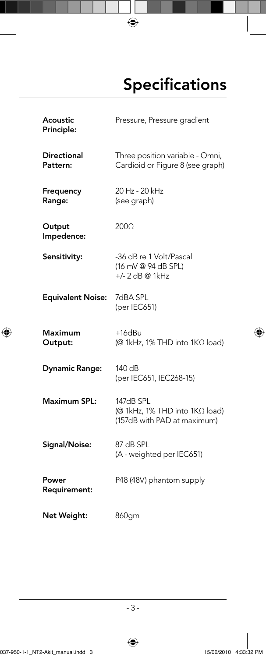### **Specifications**

Acoustic Principle: Pressure, Pressure gradient

**Directional** Pattern: Three position variable - Omni, Cardioid or Figure 8 (see graph)

◈

- Frequency Range: 20 Hz - 20 kHz (see graph)
- **Output** Impedence:
- Sensitivity: -36 dB re 1 Volt/Pascal (16 mV @ 94 dB SPL) +/- 2 dB @ 1kHz

200Ω

Equivalent Noise: 7dBA SPL (per IEC651)

Maximum Output:

⊕

+16dBu (@ 1kHz, 1% THD into 1KΩ load)

⊕

Dynamic Range: 140 dB (per IEC651, IEC268-15)

Maximum SPL: 147dB SPL (@ 1kHz, 1% THD into 1KΩ load) (157dB with PAD at maximum)

Signal/Noise: 87 dB SPL (A - weighted per IEC651)

Power Requirement: P48 (48V) phantom supply

Net Weight: 860gm

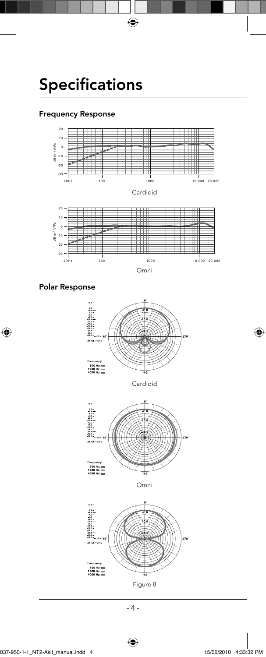## Specifications

#### Frequency Response



 $\bigoplus$ 



 $\bigoplus$ 



Cardioid



Omni



Figure 8

- 4 -

 $\bigoplus$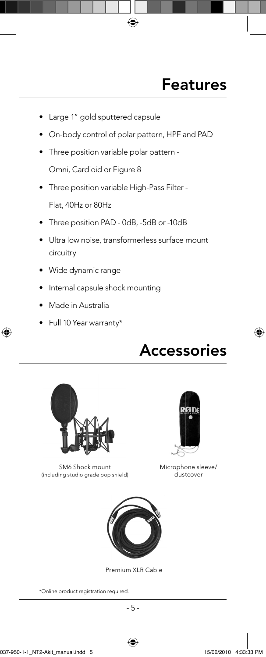#### Features

- Large 1" gold sputtered capsule
- On-body control of polar pattern, HPF and PAD

◈

- Three position variable polar pattern Omni, Cardioid or Figure 8
- Three position variable High-Pass Filter Flat, 40Hz or 80Hz
- Three position PAD 0dB, -5dB or -10dB
- Ultra low noise, transformerless surface mount circuitry
- Wide dynamic range
- Internal capsule shock mounting
- Made in Australia

⊕

• Full 10 Year warranty\*

### Accessories

⊕



SM6 Shock mount (including studio grade pop shield)



Microphone sleeve/ dustcover



Premium XLR Cable

\*Online product registration required.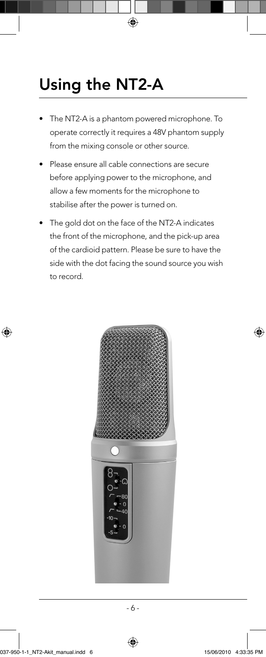## Using the NT2-A

The NT2-A is a phantom powered microphone. To operate correctly it requires a 48V phantom supply from the mixing console or other source.

◈

- Please ensure all cable connections are secure before applying power to the microphone, and allow a few moments for the microphone to stabilise after the power is turned on.
- The gold dot on the face of the NT2-A indicates the front of the microphone, and the pick-up area of the cardioid pattern. Please be sure to have the side with the dot facing the sound source you wish to record.



- 6 -

 $\bigoplus$ 

⊕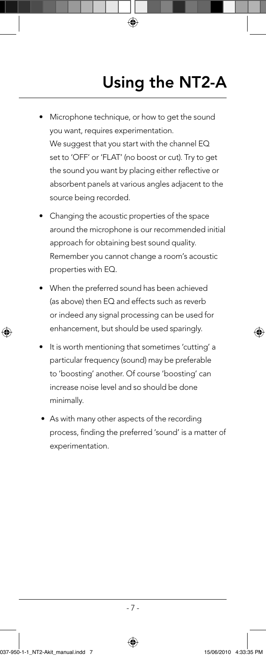# Using the NT2-A

• Microphone technique, or how to get the sound you want, requires experimentation. We suggest that you start with the channel EQ set to 'OFF' or 'FLAT' (no boost or cut). Try to get the sound you want by placing either reflective or absorbent panels at various angles adjacent to the source being recorded.

◈

- Changing the acoustic properties of the space around the microphone is our recommended initial approach for obtaining best sound quality. Remember you cannot change a room's acoustic properties with EQ.
- When the preferred sound has been achieved (as above) then EQ and effects such as reverb or indeed any signal processing can be used for enhancement, but should be used sparingly.
- It is worth mentioning that sometimes 'cutting' a particular frequency (sound) may be preferable to 'boosting' another. Of course 'boosting' can increase noise level and so should be done minimally.
- As with many other aspects of the recording process, finding the preferred 'sound' is a matter of experimentation.

 $-7 -$ 

⊕



⊕

♠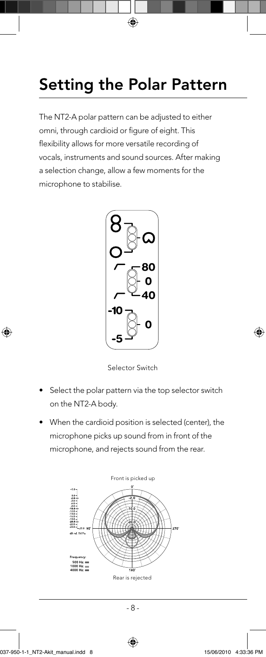## Setting the Polar Pattern

◈

The NT2-A polar pattern can be adjusted to either omni, through cardioid or figure of eight. This flexibility allows for more versatile recording of vocals, instruments and sound sources. After making a selection change, allow a few moments for the microphone to stabilise.





- Select the polar pattern via the top selector switch on the NT2-A body.
- When the cardioid position is selected (center), the microphone picks up sound from in front of the microphone, and rejects sound from the rear.



- 8 -

 $\bigoplus$ 

⊕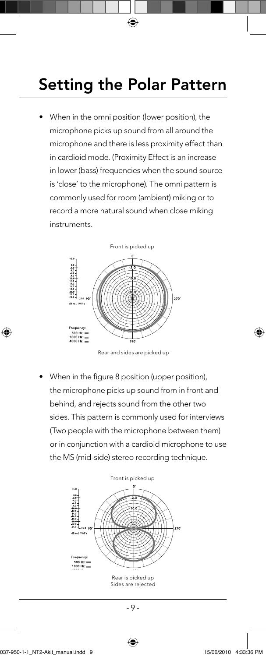#### Setting the Polar Pattern

◈

• When in the omni position (lower position), the microphone picks up sound from all around the microphone and there is less proximity effect than in cardioid mode. (Proximity Effect is an increase in lower (bass) frequencies when the sound source is 'close' to the microphone). The omni pattern is commonly used for room (ambient) miking or to record a more natural sound when close miking instruments.



Rear and sides are picked up

When in the figure 8 position (upper position), the microphone picks up sound from in front and behind, and rejects sound from the other two sides. This pattern is commonly used for interviews (Two people with the microphone between them) or in conjunction with a cardioid microphone to use the MS (mid-side) stereo recording technique.



 $-9 -$ 

⊕

⊕

◈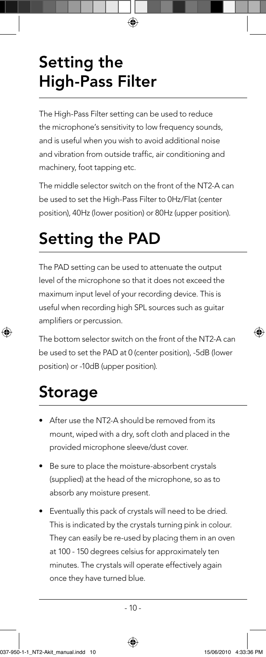# Setting the High-Pass Filter

The High-Pass Filter setting can be used to reduce the microphone's sensitivity to low frequency sounds, and is useful when you wish to avoid additional noise and vibration from outside traffic, air conditioning and machinery, foot tapping etc.

◈

The middle selector switch on the front of the NT2-A can be used to set the High-Pass Filter to 0Hz/Flat (center position), 40Hz (lower position) or 80Hz (upper position).

## Setting the PAD

The PAD setting can be used to attenuate the output level of the microphone so that it does not exceed the maximum input level of your recording device. This is useful when recording high SPL sources such as guitar amplifiers or percussion.

The bottom selector switch on the front of the NT2-A can be used to set the PAD at 0 (center position), -5dB (lower position) or -10dB (upper position).

## Storage

⊕

- After use the NT2-A should be removed from its mount, wiped with a dry, soft cloth and placed in the provided microphone sleeve/dust cover.
- Be sure to place the moisture-absorbent crystals (supplied) at the head of the microphone, so as to absorb any moisture present.
- Eventually this pack of crystals will need to be dried. This is indicated by the crystals turning pink in colour. They can easily be re-used by placing them in an oven at 100 - 150 degrees celsius for approximately ten minutes. The crystals will operate effectively again once they have turned blue.

⊕



◈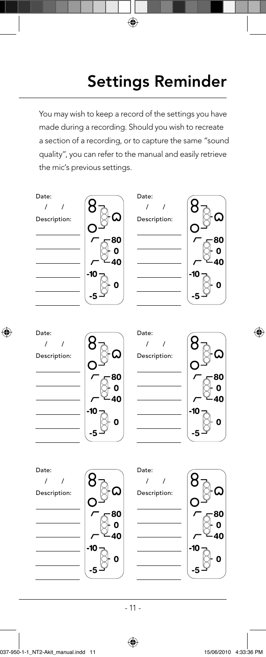## Settings Reminder

You may wish to keep a record of the settings you have made during a recording. Should you wish to recreate a section of a recording, or to capture the same "sound quality", you can refer to the manual and easily retrieve the mic's previous settings.

 $\bigoplus$ 

Date:

Description: / /









Date: / /

Description:







 $\bigoplus$ 

Date: / /

Description:







- 11 -

037-950-1-1\_NT2-Akit\_manual.indd 11 37-950-1-1\_NT2-Akit\_manual.indd 15/06/2010 4:33:36 PM 5/06/2010